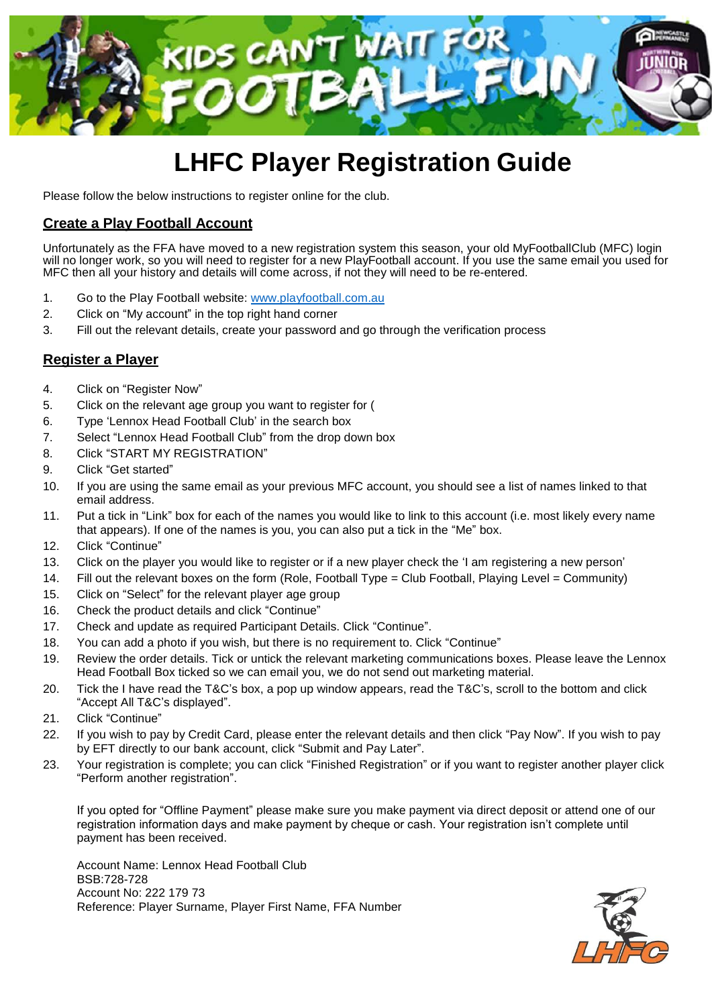

## **LHFC Player Registration Guide**

Please follow the below instructions to register online for the club.

## **Create a Play Football Account**

Unfortunately as the FFA have moved to a new registration system this season, your old MyFootballClub (MFC) login will no longer work, so you will need to register for a new PlayFootball account. If you use the same email you used for MFC then all your history and details will come across, if not they will need to be re-entered.

- 1. Go to the Play Football website: [www.playfootball.com.au](http://www.playfootball.com.au/)
- 2. Click on "My account" in the top right hand corner
- 3. Fill out the relevant details, create your password and go through the verification process

## **Register a Player**

- 4. Click on "Register Now"
- 5. Click on the relevant age group you want to register for (
- 6. Type 'Lennox Head Football Club' in the search box
- 7. Select "Lennox Head Football Club" from the drop down box
- 8. Click "START MY REGISTRATION"
- 9. Click "Get started"
- 10. If you are using the same email as your previous MFC account, you should see a list of names linked to that email address.
- 11. Put a tick in "Link" box for each of the names you would like to link to this account (i.e. most likely every name that appears). If one of the names is you, you can also put a tick in the "Me" box.
- 12. Click "Continue"
- 13. Click on the player you would like to register or if a new player check the 'I am registering a new person'
- 14. Fill out the relevant boxes on the form (Role, Football Type = Club Football, Playing Level = Community)
- 15. Click on "Select" for the relevant player age group
- 16. Check the product details and click "Continue"
- 17. Check and update as required Participant Details. Click "Continue".
- 18. You can add a photo if you wish, but there is no requirement to. Click "Continue"
- 19. Review the order details. Tick or untick the relevant marketing communications boxes. Please leave the Lennox Head Football Box ticked so we can email you, we do not send out marketing material.
- 20. Tick the I have read the T&C's box, a pop up window appears, read the T&C's, scroll to the bottom and click "Accept All T&C's displayed".
- 21. Click "Continue"
- 22. If you wish to pay by Credit Card, please enter the relevant details and then click "Pay Now". If you wish to pay by EFT directly to our bank account, click "Submit and Pay Later".
- 23. Your registration is complete; you can click "Finished Registration" or if you want to register another player click "Perform another registration".

If you opted for "Offline Payment" please make sure you make payment via direct deposit or attend one of our registration information days and make payment by cheque or cash. Your registration isn't complete until payment has been received.

Account Name: Lennox Head Football Club BSB:728-728 Account No: 222 179 73 Reference: Player Surname, Player First Name, FFA Number